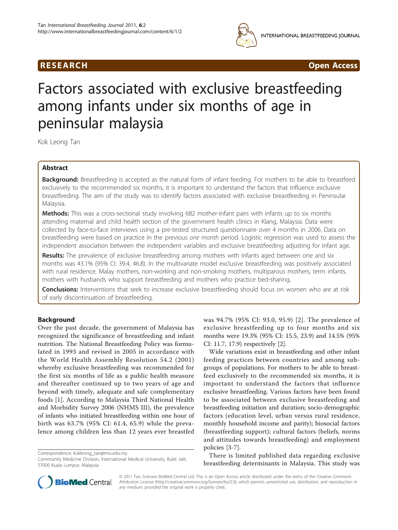# RESEARCH CHEARCH CHEART CHEART CHEART CHEART CHEART CHEART CHEART CHEART CHEART CHEART CHEART CHEART CHEART CH



# Factors associated with exclusive breastfeeding among infants under six months of age in peninsular malaysia

Kok Leong Tan

# Abstract

Background: Breastfeeding is accepted as the natural form of infant feeding. For mothers to be able to breastfeed exclusively to the recommended six months, it is important to understand the factors that influence exclusive breastfeeding. The aim of the study was to identify factors associated with exclusive breastfeeding in Peninsular Malaysia.

Methods: This was a cross-sectional study involving 682 mother-infant pairs with infants up to six months attending maternal and child health section of the government health clinics in Klang, Malaysia. Data were collected by face-to-face interviews using a pre-tested structured questionnaire over 4 months in 2006. Data on breastfeeding were based on practice in the previous one month period. Logistic regression was used to assess the independent association between the independent variables and exclusive breastfeeding adjusting for infant age.

Results: The prevalence of exclusive breastfeeding among mothers with infants aged between one and six months was 43.1% (95% CI: 39.4, 46.8). In the multivariate model exclusive breastfeeding was positively associated with rural residence, Malay mothers, non-working and non-smoking mothers, multiparous mothers, term infants, mothers with husbands who support breastfeeding and mothers who practice bed-sharing.

**Conclusions:** Interventions that seek to increase exclusive breastfeeding should focus on women who are at risk of early discontinuation of breastfeeding.

# Background

Over the past decade, the government of Malaysia has recognized the significance of breastfeeding and infant nutrition. The National Breastfeeding Policy was formulated in 1993 and revised in 2005 in accordance with the World Health Assembly Resolution 54.2 (2001) whereby exclusive breastfeeding was recommended for the first six months of life as a public health measure and thereafter continued up to two years of age and beyond with timely, adequate and safe complementary foods [[1\]](#page-5-0). According to Malaysia Third National Health and Morbidity Survey 2006 (NHMS III), the prevalence of infants who initiated breastfeeding within one hour of birth was 63.7% (95% CI: 61.4, 65.9) while the prevalence among children less than 12 years ever breastfed

Correspondence: [kokleong\\_tan@imu.edu.my](mailto:kokleong_tan@imu.edu.my)

was 94.7% (95% CI: 93.0, 95.9) [[2\]](#page-5-0). The prevalence of exclusive breastfeeding up to four months and six months were 19.3% (95% CI: 15.5, 23.9) and 14.5% (95% CI: 11.7, 17.9) respectively [[2\]](#page-5-0).

Wide variations exist in breastfeeding and other infant feeding practices between countries and among subgroups of populations. For mothers to be able to breastfeed exclusively to the recommended six months, it is important to understand the factors that influence exclusive breastfeeding. Various factors have been found to be associated between exclusive breastfeeding and breastfeeding initiation and duration; socio-demographic factors (education level, urban versus rural residence, monthly household income and parity); biosocial factors (breastfeeding support); cultural factors (beliefs, norms and attitudes towards breastfeeding) and employment policies [[3](#page-5-0)-[7\]](#page-5-0).

There is limited published data regarding exclusive breastfeeding determinants in Malaysia. This study was



© 2011 Tan; licensee BioMed Central Ltd. This is an Open Access article distributed under the terms of the Creative Commons Attribution License [\(http://creativecommons.org/licenses/by/2.0](http://creativecommons.org/licenses/by/2.0)), which permits unrestricted use, distribution, and reproduction in any medium, provided the original work is properly cited.

Community Medicine Division, International Medical University, Bukit Jalil, 57000 Kuala Lumpur, Malaysia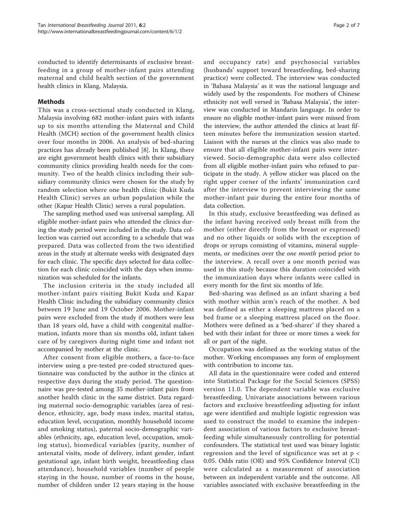conducted to identify determinants of exclusive breastfeeding in a group of mother-infant pairs attending maternal and child health section of the government health clinics in Klang, Malaysia.

# **Methods**

This was a cross-sectional study conducted in Klang, Malaysia involving 682 mother-infant pairs with infants up to six months attending the Maternal and Child Health (MCH) section of the government health clinics over four months in 2006. An analysis of bed-sharing practices has already been published [[8\]](#page-5-0). In Klang, there are eight government health clinics with their subsidiary community clinics providing health needs for the community. Two of the health clinics including their subsidiary community clinics were chosen for the study by random selection where one health clinic (Bukit Kuda Health Clinic) serves an urban population while the other (Kapar Health Clinic) serves a rural population.

The sampling method used was universal sampling. All eligible mother-infant pairs who attended the clinics during the study period were included in the study. Data collection was carried out according to a schedule that was prepared. Data was collected from the two identified areas in the study at alternate weeks with designated days for each clinic. The specific days selected for data collection for each clinic coincided with the days when immunization was scheduled for the infants.

The inclusion criteria in the study included all mother-infant pairs visiting Bukit Kuda and Kapar Health Clinic including the subsidiary community clinics between 19 June and 19 October 2006. Mother-infant pairs were excluded from the study if mothers were less than 18 years old, have a child with congenital malformation, infants more than six months old, infant taken care of by caregivers during night time and infant not accompanied by mother at the clinic.

After consent from eligible mothers, a face-to-face interview using a pre-tested pre-coded structured questionnaire was conducted by the author in the clinics at respective days during the study period. The questionnaire was pre-tested among 35 mother-infant pairs from another health clinic in the same district. Data regarding maternal socio-demographic variables (area of residence, ethnicity, age, body mass index, marital status, education level, occupation, monthly household income and smoking status), paternal socio-demographic variables (ethnicity, age, education level, occupation, smoking status), biomedical variables (parity, number of antenatal visits, mode of delivery, infant gender, infant gestational age, infant birth weight, breastfeeding class attendance), household variables (number of people staying in the house, number of rooms in the house, number of children under 12 years staying in the house

and occupancy rate) and psychosocial variables (husbands' support toward breastfeeding, bed-sharing practice) were collected. The interview was conducted in 'Bahasa Malaysia' as it was the national language and widely used by the respondents. For mothers of Chinese ethnicity not well versed in 'Bahasa Malaysia', the interview was conducted in Mandarin language. In order to ensure no eligible mother-infant pairs were missed from the interview, the author attended the clinics at least fifteen minutes before the immunization session started. Liaison with the nurses at the clinics was also made to ensure that all eligible mother-infant pairs were interviewed. Socio-demographic data were also collected from all eligible mother-infant pairs who refused to participate in the study. A yellow sticker was placed on the right upper corner of the infants' immunization card after the interview to prevent interviewing the same mother-infant pair during the entire four months of data collection.

In this study, exclusive breastfeeding was defined as the infant having received only breast milk from the mother (either directly from the breast or expressed) and no other liquids or solids with the exception of drops or syrups consisting of vitamins, mineral supplements, or medicines over the *one month* period prior to the interview. A recall over a one month period was used in this study because this duration coincided with the immunization days where infants were called in every month for the first six months of life.

Bed-sharing was defined as an infant sharing a bed with mother within arm's reach of the mother. A bed was defined as either a sleeping mattress placed on a bed frame or a sleeping mattress placed on the floor. Mothers were defined as a 'bed-sharer' if they shared a bed with their infant for three or more times a week for all or part of the night.

Occupation was defined as the working status of the mother. Working encompasses any form of employment with contribution to income tax.

All data in the questionnaire were coded and entered into Statistical Package for the Social Sciences (SPSS) version 11.0. The dependent variable was exclusive breastfeeding. Univariate associations between various factors and exclusive breastfeeding adjusting for infant age were identified and multiple logistic regression was used to construct the model to examine the independent association of various factors to exclusive breastfeeding while simultaneously controlling for potential confounders. The statistical test used was binary logistic regression and the level of significance was set at p < 0.05. Odds ratio (OR) and 95% Confidence Interval (CI) were calculated as a measurement of association between an independent variable and the outcome. All variables associated with exclusive breastfeeding in the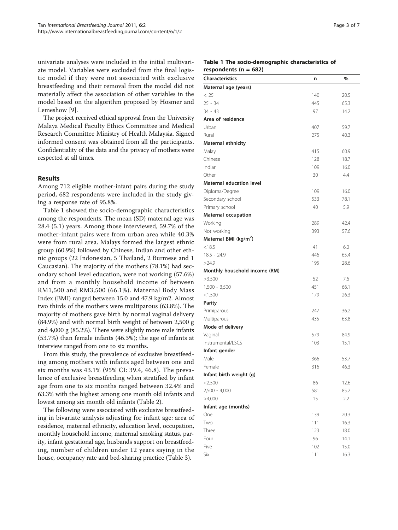univariate analyses were included in the initial multivariate model. Variables were excluded from the final logistic model if they were not associated with exclusive breastfeeding and their removal from the model did not materially affect the association of other variables in the model based on the algorithm proposed by Hosmer and Lemeshow [\[9](#page-5-0)].

The project received ethical approval from the University Malaya Medical Faculty Ethics Committee and Medical Research Committee Ministry of Health Malaysia. Signed informed consent was obtained from all the participants. Confidentiality of the data and the privacy of mothers were respected at all times.

# Results

Among 712 eligible mother-infant pairs during the study period, 682 respondents were included in the study giving a response rate of 95.8%.

Table 1 showed the socio-demographic characteristics among the respondents. The mean (SD) maternal age was 28.4 (5.1) years. Among those interviewed, 59.7% of the mother-infant pairs were from urban area while 40.3% were from rural area. Malays formed the largest ethnic group (60.9%) followed by Chinese, Indian and other ethnic groups (22 Indonesian, 5 Thailand, 2 Burmese and 1 Caucasian). The majority of the mothers (78.1%) had secondary school level education, were not working (57.6%) and from a monthly household income of between RM1,500 and RM3,500 (66.1%). Maternal Body Mass Index (BMI) ranged between 15.0 and 47.9 kg/m2. Almost two thirds of the mothers were multiparous (63.8%). The majority of mothers gave birth by normal vaginal delivery (84.9%) and with normal birth weight of between 2,500 g and 4,000 g (85.2%). There were slightly more male infants (53.7%) than female infants (46.3%); the age of infants at interview ranged from one to six months.

From this study, the prevalence of exclusive breastfeeding among mothers with infants aged between one and six months was 43.1% (95% CI: 39.4, 46.8). The prevalence of exclusive breastfeeding when stratified by infant age from one to six months ranged between 32.4% and 63.3% with the highest among one month old infants and lowest among six month old infants (Table [2\)](#page-3-0).

The following were associated with exclusive breastfeeding in bivariate analysis adjusting for infant age: area of residence, maternal ethnicity, education level, occupation, monthly household income, maternal smoking status, parity, infant gestational age, husbands support on breastfeeding, number of children under 12 years saying in the house, occupancy rate and bed-sharing practice (Table [3](#page-4-0)).

## Table 1 The socio-demographic characteristics of respondents (n = 682)

| respondents (n = ooz)             |     |                  |
|-----------------------------------|-----|------------------|
| <b>Characteristics</b>            | n   | $\%$             |
| Maternal age (years)              |     |                  |
| < 25                              | 140 | 20.5             |
| $25 - 34$                         | 445 | 65.3             |
| $34 - 43$                         | 97  | 14.2             |
| Area of residence                 |     |                  |
| Urban                             | 407 | 59.7             |
| Rural                             | 275 | 40.3             |
| Maternal ethnicity                |     |                  |
| Malay                             | 415 | 60.9             |
| Chinese                           | 128 | 18.7             |
| Indian                            | 109 | 16.0             |
| Other                             | 30  | 4.4              |
| <b>Maternal education level</b>   |     |                  |
| Diploma/Degree                    | 109 | 16.0             |
| Secondary school                  | 533 | 78.1             |
| Primary school                    | 40  | 5.9              |
| <b>Maternal occupation</b>        |     |                  |
| Working                           | 289 | 42.4             |
| Not working                       | 393 | 57.6             |
| Maternal BMI (kg/m <sup>2</sup> ) |     |                  |
| < 18.5                            | 41  | 6.0              |
| $18.5 - 24.9$                     | 446 | 65.4             |
| >24.9                             | 195 | 28.6             |
| Monthly household income (RM)     |     |                  |
| >3,500                            | 52  | 7.6              |
| $1,500 - 3,500$                   | 451 | 66.1             |
| $<$ 1,500                         | 179 | 26.3             |
| Parity                            |     |                  |
| Primiparous                       | 247 | 36.2             |
| Multiparous                       | 435 | 63.8             |
| Mode of delivery                  |     |                  |
| Vaginal                           | 579 | 84.9             |
| Instrumental/LSCS                 | 103 | 15.1             |
| Infant gender                     |     |                  |
| Male                              | 366 | 53.7             |
| Female                            | 316 | 46.3             |
| Infant birth weight (g)           |     |                  |
| <2,500                            | 86  | 12.6             |
| 2,500 - 4,000                     | 581 | 85.2             |
| >4,000                            | 15  | $2.2\phantom{0}$ |
| Infant age (months)               |     |                  |
| One                               | 139 | 20.3             |
| Two                               | 111 | 16.3             |
| Three                             |     |                  |
|                                   | 123 | 18.0             |
| Four                              | 96  | 14.1             |
| Five                              | 102 | 15.0             |
|                                   |     |                  |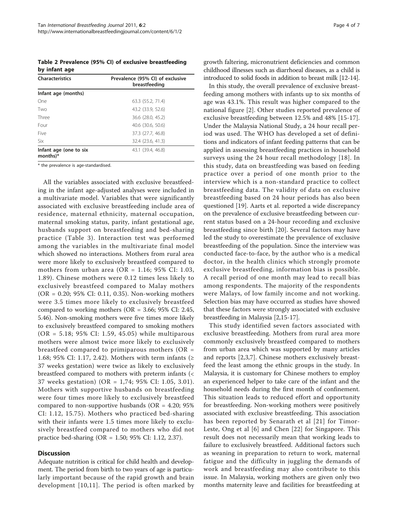<span id="page-3-0"></span>Table 2 Prevalence (95% CI) of exclusive breastfeeding by infant age

| <b>Characteristics</b>                          | Prevalence (95% CI) of exclusive<br>breastfeeding |  |  |  |
|-------------------------------------------------|---------------------------------------------------|--|--|--|
| Infant age (months)                             |                                                   |  |  |  |
| One                                             | 63.3 (55.2, 71.4)                                 |  |  |  |
| Two                                             | 43.2 (33.9, 52.6)                                 |  |  |  |
| Three                                           | 36.6 (28.0, 45.2)                                 |  |  |  |
| Four                                            | 40.6 (30.6, 50.6)                                 |  |  |  |
| Five                                            | 37.3 (27.7, 46.8)                                 |  |  |  |
| Six                                             | 32.4 (23.6, 41.3)                                 |  |  |  |
| Infant age (one to six<br>$months$ <sup>*</sup> | 43.1 (39.4, 46.8)                                 |  |  |  |

\* the prevalence is age-standardised.

All the variables associated with exclusive breastfeeding in the infant age-adjusted analyses were included in a multivariate model. Variables that were significantly associated with exclusive breastfeeding include area of residence, maternal ethnicity, maternal occupation, maternal smoking status, parity, infant gestational age, husbands support on breastfeeding and bed-sharing practice (Table [3](#page-4-0)). Interaction test was performed among the variables in the multivariate final model which showed no interactions. Mothers from rural area were more likely to exclusively breastfeed compared to mothers from urban area (OR = 1.16; 95% CI: 1.03, 1.89). Chinese mothers were 0.12 times less likely to exclusively breastfeed compared to Malay mothers (OR = 0.20; 95% CI: 0.11, 0.35). Non-working mothers were 3.5 times more likely to exclusively breastfeed compared to working mothers ( $OR = 3.66$ ; 95% CI: 2.45, 5.46). Non-smoking mothers were five times more likely to exclusively breastfeed compared to smoking mothers (OR = 5.18; 95% CI: 1.59, 45.05) while multiparous mothers were almost twice more likely to exclusively breastfeed compared to primiparous mothers (OR = 1.68; 95% CI: 1.17, 2.42). Mothers with term infants (≥ 37 weeks gestation) were twice as likely to exclusively breastfeed compared to mothers with preterm infants (< 37 weeks gestation) (OR = 1,74; 95% CI: 1.05, 3.01). Mothers with supportive husbands on breastfeeding were four times more likely to exclusively breastfeed compared to non-supportive husbands ( $OR = 4.20$ ; 95% CI: 1.12, 15.75). Mothers who practiced bed-sharing with their infants were 1.5 times more likely to exclusively breastfeed compared to mothers who did not practice bed-sharing (OR = 1.50; 95% CI: 1.12, 2.37).

# **Discussion**

Adequate nutrition is critical for child health and development. The period from birth to two years of age is particularly important because of the rapid growth and brain development [[10,11\]](#page-5-0). The period is often marked by

growth faltering, micronutrient deficiencies and common childhood illnesses such as diarrhoeal diseases, as a child is introduced to solid foods in addition to breast milk [\[12-14](#page-5-0)].

In this study, the overall prevalence of exclusive breastfeeding among mothers with infants up to six months of age was 43.1%. This result was higher compared to the national figure [[2\]](#page-5-0). Other studies reported prevalence of exclusive breastfeeding between 12.5% and 48% [\[15](#page-5-0)-[17](#page-5-0)]. Under the Malaysia National Study, a 24 hour recall period was used. The WHO has developed a set of definitions and indicators of infant feeding patterns that can be applied in assessing breastfeeding practices in household surveys using the 24 hour recall methodology [[18\]](#page-5-0). In this study, data on breastfeeding was based on feeding practice over a period of one month prior to the interview which is a non-standard practice to collect breastfeeding data. The validity of data on exclusive breastfeeding based on 24 hour periods has also been questioned [[19](#page-5-0)]. Aarts et al. reported a wide discrepancy on the prevalence of exclusive breastfeeding between current status based on a 24-hour recording and exclusive breastfeeding since birth [[20\]](#page-5-0). Several factors may have led the study to overestimate the prevalence of exclusive breastfeeding of the population. Since the interview was conducted face-to-face, by the author who is a medical doctor, in the health clinics which strongly promote exclusive breastfeeding, information bias is possible. A recall period of one month may lead to recall bias among respondents. The majority of the respondents were Malays, of low family income and not working. Selection bias may have occurred as studies have showed that these factors were strongly associated with exclusive breastfeeding in Malaysia [\[2,15-17](#page-5-0)].

This study identified seven factors associated with exclusive breastfeeding. Mothers from rural area more commonly exclusively breastfeed compared to mothers from urban area which was supported by many articles and reports [[2,3,7](#page-5-0)]. Chinese mothers exclusively breastfeed the least among the ethnic groups in the study. In Malaysia, it is customary for Chinese mothers to employ an experienced helper to take care of the infant and the household needs during the first month of confinement. This situation leads to reduced effort and opportunity for breastfeeding. Non-working mothers were positively associated with exclusive breastfeeding. This association has been reported by Senarath et al [[21](#page-5-0)] for Timor-Leste, Ong et al [[6\]](#page-5-0) and Chen [[22\]](#page-6-0) for Singapore. This result does not necessarily mean that working leads to failure to exclusively breastfeed. Additional factors such as weaning in preparation to return to work, maternal fatigue and the difficulty in juggling the demands of work and breastfeeding may also contribute to this issue. In Malaysia, working mothers are given only two months maternity leave and facilities for breastfeeding at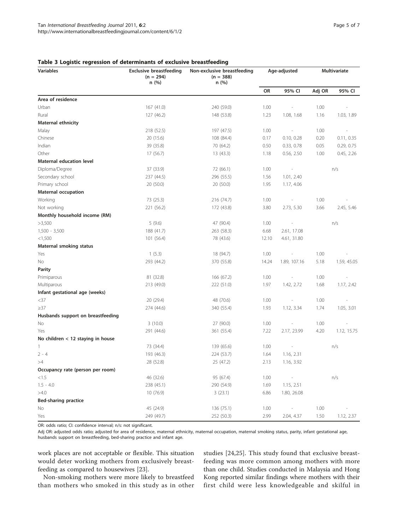#### <span id="page-4-0"></span>Table 3 Logistic regression of determinants of exclusive breastfeeding

| <b>Variables</b>                    | <b>Exclusive breastfeeding</b><br>$(n = 294)$<br>n (%) | Non-exclusive breastfeeding<br>$(n = 388)$<br>n (%) | Age-adjusted |                          | Multivariate |             |
|-------------------------------------|--------------------------------------------------------|-----------------------------------------------------|--------------|--------------------------|--------------|-------------|
|                                     |                                                        |                                                     | OR           | 95% CI                   | Adj OR       | 95% CI      |
| Area of residence                   |                                                        |                                                     |              |                          |              |             |
| Urban                               | 167 (41.0)                                             | 240 (59.0)                                          | 1.00         | $\overline{\phantom{a}}$ | 1.00         |             |
| Rural                               | 127 (46.2)                                             | 148 (53.8)                                          | 1.23         | 1.08, 1.68               | 1.16         | 1.03, 1.89  |
| Maternal ethnicity                  |                                                        |                                                     |              |                          |              |             |
| Malay                               | 218 (52.5)                                             | 197 (47.5)                                          | 1.00         | $\overline{\phantom{a}}$ | 1.00         |             |
| Chinese                             | 20(15.6)                                               | 108 (84.4)                                          | 0.17         | 0.10, 0.28               | 0.20         | 0.11, 0.35  |
| Indian                              | 39 (35.8)                                              | 70 (64.2)                                           | 0.50         | 0.33, 0.78               | 0.05         | 0.29, 0.75  |
| Other                               | 17 (56.7)                                              | 13 (43.3)                                           | 1.18         | 0.56, 2.50               | 1.00         | 0.45, 2.26  |
| Maternal education level            |                                                        |                                                     |              |                          |              |             |
| Diploma/Degree                      | 37 (33.9)                                              | 72 (66.1)                                           | 1.00         |                          |              | n/s         |
| Secondary school                    | 237 (44.5)                                             | 296 (55.5)                                          | 1.56         | 1.01, 2.40               |              |             |
| Primary school                      | 20 (50.0)                                              | 20 (50.0)                                           | 1.95         | 1.17, 4.06               |              |             |
| <b>Maternal occupation</b>          |                                                        |                                                     |              |                          |              |             |
| Working                             | 73 (25.3)                                              | 216 (74.7)                                          | 1.00         | $\overline{\phantom{a}}$ | 1.00         |             |
| Not working                         | 221 (56.2)                                             | 172 (43.8)                                          | 3.80         | 2.73, 5.30               | 3.66         | 2.45, 5.46  |
| Monthly household income (RM)       |                                                        |                                                     |              |                          |              |             |
| >3,500                              | 5(9.6)                                                 | 47 (90.4)                                           | 1.00         |                          |              | n/s         |
| $1,500 - 3,500$                     | 188 (41.7)                                             | 263 (58.3)                                          | 6.68         | 2.61, 17.08              |              |             |
| $<$ 1,500                           | 101 (56.4)                                             | 78 (43.6)                                           | 12.10        | 4.61, 31.80              |              |             |
| Maternal smoking status             |                                                        |                                                     |              |                          |              |             |
| Yes                                 | 1(5.3)                                                 | 18 (94.7)                                           | 1.00         | $\overline{\phantom{a}}$ | 1.00         |             |
| Νo                                  | 293 (44.2)                                             | 370 (55.8)                                          | 14.24        | 1.89, 107.16             | 5.18         | 1.59, 45.05 |
| Parity                              |                                                        |                                                     |              |                          |              |             |
| Primiparous                         | 81 (32.8)                                              | 166 (67.2)                                          | 1.00         |                          | 1.00         |             |
| Multiparous                         | 213 (49.0)                                             | 222 (51.0)                                          | 1.97         | 1.42, 2.72               | 1.68         | 1.17, 2.42  |
| Infant gestational age (weeks)      |                                                        |                                                     |              |                          |              |             |
| $<$ 37                              | 20 (29.4)                                              | 48 (70.6)                                           | 1.00         | $\overline{\phantom{a}}$ | 1.00         |             |
| $\geq$ 37                           | 274 (44.6)                                             | 340 (55.4)                                          | 1.93         | 1.12, 3.34               | 1.74         | 1.05, 3.01  |
| Husbands support on breastfeeding   |                                                        |                                                     |              |                          |              |             |
| No                                  | 3(10.0)                                                | 27 (90.0)                                           | 1.00         | $\overline{\phantom{a}}$ | 1.00         |             |
| Yes                                 | 291 (44.6)                                             | 361 (55.4)                                          | 7.22         | 2.17, 23.99              | 4.20         | 1.12, 15.75 |
| No children $<$ 12 staying in house |                                                        |                                                     |              |                          |              |             |
| 1                                   | 73 (34.4)                                              | 139 (65.6)                                          | 1.00         |                          |              | n/s         |
| $2 - 4$                             | 193 (46.3)                                             | 224 (53.7)                                          | 1.64         | 1.16, 2.31               |              |             |
| >4                                  | 28 (52.8)                                              | 25 (47.2)                                           | 2.13         | 1.16, 3.92               |              |             |
| Occupancy rate (person per room)    |                                                        |                                                     |              |                          |              |             |
| < 1.5                               | 46 (32.6)                                              | 95 (67.4)                                           | 1.00         |                          |              | n/s         |
| $1.5 - 4.0$                         | 238 (45.1)                                             | 290 (54.9)                                          | 1.69         | 1.15, 2.51               |              |             |
| >4.0                                | 10 (76.9)                                              | 3(23.1)                                             | 6.86         | 1.80, 26.08              |              |             |
| Bed-sharing practice                |                                                        |                                                     |              |                          |              |             |
| No                                  | 45 (24.9)                                              | 136 (75.1)                                          | 1.00         | $\Box$                   | 1.00         |             |
| Yes                                 | 249 (49.7)                                             | 252 (50.3)                                          | 2.99         | 2.04, 4.37               | 1.50         | 1.12, 2.37  |

OR: odds ratio; CI: confidence interval; n/s: not significant.

Adj OR: adjusted odds ratio; adjusted for area of residence, maternal ethnicity, maternal occupation, maternal smoking status, parity, infant gestational age, husbands support on breastfeeding, bed-sharing practice and infant age.

work places are not acceptable or flexible. This situation would deter working mothers from exclusively breastfeeding as compared to housewives [\[23\]](#page-6-0).

Non-smoking mothers were more likely to breastfeed than mothers who smoked in this study as in other studies [[24,25](#page-6-0)]. This study found that exclusive breastfeeding was more common among mothers with more than one child. Studies conducted in Malaysia and Hong Kong reported similar findings where mothers with their first child were less knowledgeable and skilful in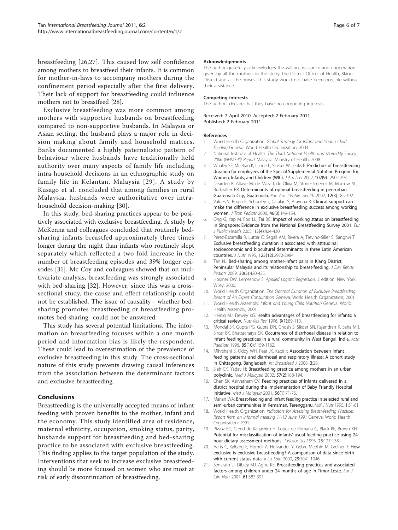<span id="page-5-0"></span>breastfeeding [[26,27](#page-6-0)]. This caused low self confidence among mothers to breastfeed their infants. It is common for mother-in-laws to accompany mothers during the confinement period especially after the first delivery. Their lack of support for breastfeeding could influence mothers not to breastfeed [\[28](#page-6-0)].

Exclusive breastfeeding was more common among mothers with supportive husbands on breastfeeding compared to non-supportive husbands. In Malaysia or Asian setting, the husband plays a major role in decision making about family and household matters. Banks documented a highly paternalistic pattern of behaviour where husbands have traditionally held authority over many aspects of family life including intra-household decisions in an ethnographic study on family life in Kelantan, Malaysia [[29\]](#page-6-0). A study by Kusago et al. concluded that among families in rural Malaysia, husbands were authoritative over intrahousehold decision-making [[30\]](#page-6-0).

In this study, bed-sharing practices appear to be positively associated with exclusive breastfeeding. A study by McKenna and colleagues concluded that routinely bedsharing infants breastfed approximately three times longer during the night than infants who routinely slept separately which reflected a two fold increase in the number of breastfeeding episodes and 39% longer episodes [\[31](#page-6-0)]. Mc Coy and colleagues showed that on multivariate analysis, breastfeeding was strongly associated with bed-sharing [\[32](#page-6-0)]. However, since this was a crosssectional study, the cause and effect relationship could not be established. The issue of causality - whether bedsharing promotes breastfeeding or breastfeeding promotes bed-sharing -could not be answered.

This study has several potential limitations. The information on breastfeeding focuses within a one month period and information bias is likely the respondent. These could lead to overestimation of the prevalence of exclusive breastfeeding in this study. The cross-sectional nature of this study prevents drawing causal inferences from the association between the determinant factors and exclusive breastfeeding.

# Conclusions

Breastfeeding is the universally accepted means of infant feeding with proven benefits to the mother, infant and the economy. This study identified area of residence, maternal ethnicity, occupation, smoking status, parity, husbands support for breastfeeding and bed-sharing practice to be associated with exclusive breastfeeding. This finding applies to the target population of the study. Interventions that seek to increase exclusive breastfeeding should be more focused on women who are most at risk of early discontinuation of breastfeeding.

#### Acknowledgements

The author gratefully acknowledges the willing assistance and cooperation given by all the mothers in the study, the District Officer of Health, Klang District and all the nurses. This study would not have been possible without their assistance.

#### Competing interests

The authors declare that they have no competing interests.

Received: 7 April 2010 Accepted: 2 February 2011 Published: 2 February 2011

#### References

- 1. World Health Organization: Global Strategy for Infant and Young Child Feeding Geneva: World Health Organization; 2003.
- 2. National Institute of Health: The Third National Health and Morbidity Survey 2006 (NHMS-III) Report Malaysia: Ministry of Health; 2008.
- 3. Whaley SE, Meehan K, Lange L, Slusser W, Jenks E: Predictors of breastfeeding duration for employees of the Special Supplemental Nutrition Program for Women, Infants, and Children (WIC). J Am Diet 2002, 102(9):1290-1293.
- 4. Dearden K, Altaye M, de Maza I, de Oliva M, Stone-Jimenez M, Morrow AL, Burkhalter BR: Determinants of optimal breastfeeding in peri-urban Guatemala City, Guatemala. Pan Am J Public Health 2002, 12(3):185-192.
- Valdes V, Pugin E, Schooley J, Catalan S, Aravena R: [Clinical support can](http://www.ncbi.nlm.nih.gov/pubmed/10893915?dopt=Abstract) [make the difference in exclusive breastfeeding success among working](http://www.ncbi.nlm.nih.gov/pubmed/10893915?dopt=Abstract) [women.](http://www.ncbi.nlm.nih.gov/pubmed/10893915?dopt=Abstract) J Trop Pediatr 2000, 46(3):149-154.
- 6. Ong G, Yap M, Foo LL, Tai BC: [Impact of working status on breastfeeding](http://www.ncbi.nlm.nih.gov/pubmed/16030134?dopt=Abstract) [in Singapore: Evidence from the National Breastfeeding Survey 2001.](http://www.ncbi.nlm.nih.gov/pubmed/16030134?dopt=Abstract) Eur J Public Health 2005, 15(4):424-430.
- 7. Perez-Escamilla R, Lutter C, Segall AM, Rivera A, Trevino-Siller S, Sanghvi T: [Exclusive breastfeeding duration is associated with attitudinal,](http://www.ncbi.nlm.nih.gov/pubmed/7500175?dopt=Abstract) [socioeconomic and biocultural determinants in three Latin American](http://www.ncbi.nlm.nih.gov/pubmed/7500175?dopt=Abstract) [countries.](http://www.ncbi.nlm.nih.gov/pubmed/7500175?dopt=Abstract) J Nutr 1995, 125(12):2972-2984.
- 8. Tan KL: [Bed-sharing among mother-infant pairs in Klang District,](http://www.ncbi.nlm.nih.gov/pubmed/19827222?dopt=Abstract) [Peninsular Malaysia and its relationship to breast-feeding.](http://www.ncbi.nlm.nih.gov/pubmed/19827222?dopt=Abstract) J Dev Behav Pediatr 2009, 30(5):420-425.
- 9. Hosmer DW, Lemeshow S: Applied Logistic Regression. 2 edition. New York: Wiley; 2000.
- 10. World Health Organization: The Optimal Duration of Exclusive Breastfeeding: Report of An Expert Consultation Geneva: World Health Organization; 2001.
- 11. World Health Assembly: Infant and Young Child Nutrition Geneva: World Health Assembly; 2001.
- 12. Heinig MJ, Dewey KG: [Health advantages of breastfeeding for infants: a](http://www.ncbi.nlm.nih.gov/pubmed/19094266?dopt=Abstract) [critical review.](http://www.ncbi.nlm.nih.gov/pubmed/19094266?dopt=Abstract) Nutr Res Rev 1996, 9(1):89-110.
- 13. Mondal SK, Gupta PG, Gupta DN, Ghosh S, Sikder SN, Rajendran K, Saha MR, Sircar BK, Bhattacharya SK: [Occurrence of diarrhoeal disease in relation to](http://www.ncbi.nlm.nih.gov/pubmed/8922075?dopt=Abstract) [infant feeding practices in a rural community in West Bengal, India.](http://www.ncbi.nlm.nih.gov/pubmed/8922075?dopt=Abstract) Acta Paediatr 1996, 85(10):1159-1162.
- 14. Mihrshahi S, Oddy WH, Peat JK, Kabir I: [Association between infant](http://www.ncbi.nlm.nih.gov/pubmed/19025613?dopt=Abstract) [feeding patterns and diarrhoeal and respiratory illness: A cohort study](http://www.ncbi.nlm.nih.gov/pubmed/19025613?dopt=Abstract) [in Chittagong, Bangladesh.](http://www.ncbi.nlm.nih.gov/pubmed/19025613?dopt=Abstract) Int Breastfeed J 2008, 3:28.
- 15. Siah CK, Yadav H: Breastfeeding practice among mothers in an urban polyclinic. Med J Malaysia 2002, 57(2):188-194.
- 16. Chan SK, Asirvatham CV: [Feeding practices of infants delivered in a](http://www.ncbi.nlm.nih.gov/pubmed/11503300?dopt=Abstract) [district hospital during the implementation of Baby Friendly Hospital](http://www.ncbi.nlm.nih.gov/pubmed/11503300?dopt=Abstract) [Initiative.](http://www.ncbi.nlm.nih.gov/pubmed/11503300?dopt=Abstract) Med J Malaysia 2001, 56(1):71-76.
- 17. Manan WA: Breast-feeding and infant feeding practice in selected rural and semi-urban communities in Kemaman, Terengganu. Mal J Nutr 1995, 1:51-61.
- 18. World Health Organization: Indicators for Assessing Breast-feeding Practices. Report from an informal meeting 11-12 June 1991 Geneva: World Health Organization; 1991.
- 19. Piwoz EG, Creed de Kanashiro H, Lopez de Romana G, Black RE, Brown KH: [Potential for misclassification of infants](http://www.ncbi.nlm.nih.gov/pubmed/8425880?dopt=Abstract)' usual feeding practice using 24 [hour dietary assessment methods.](http://www.ncbi.nlm.nih.gov/pubmed/8425880?dopt=Abstract) J Biosoc Sci 1993, 25:127-138.
- 20. Aarts C, Kylberg E, Hornell A, Hofvander Y, Gebre-Medhin M, Greiner T: How exclusive is exclusive breastfeeding? A comparison of data since birth with current status data. Int J Epid 2000, 29:1041-1046.
- 21. Senarath U, Dibley MJ, Agho KE: [Breastfeeding practices and associated](http://www.ncbi.nlm.nih.gov/pubmed/17021597?dopt=Abstract) [factors among children under 24 months of age in Timor-Leste.](http://www.ncbi.nlm.nih.gov/pubmed/17021597?dopt=Abstract) Eur J Clin Nutr 2007, 61:387-397.